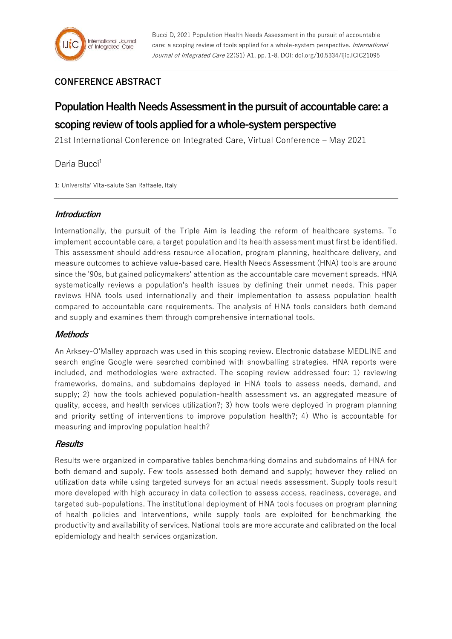# **CONFERENCE ABSTRACT**

# **Population Health Needs Assessment in the pursuit of accountable care: a scoping review of tools applied for a whole-system perspective**

21st International Conference on Integrated Care, Virtual Conference – May 2021

Daria Bucci<sup>1</sup>

1: Universita' Vita-salute San Raffaele, Italy

# **Introduction**

Internationally, the pursuit of the Triple Aim is leading the reform of healthcare systems. To implement accountable care, a target population and its health assessment must first be identified. This assessment should address resource allocation, program planning, healthcare delivery, and measure outcomes to achieve value-based care. Health Needs Assessment (HNA) tools are around since the '90s, but gained policymakers' attention as the accountable care movement spreads. HNA systematically reviews a population's health issues by defining their unmet needs. This paper reviews HNA tools used internationally and their implementation to assess population health compared to accountable care requirements. The analysis of HNA tools considers both demand and supply and examines them through comprehensive international tools.

# **Methods**

An Arksey-O'Malley approach was used in this scoping review. Electronic database MEDLINE and search engine Google were searched combined with snowballing strategies. HNA reports were included, and methodologies were extracted. The scoping review addressed four: 1) reviewing frameworks, domains, and subdomains deployed in HNA tools to assess needs, demand, and supply; 2) how the tools achieved population-health assessment vs. an aggregated measure of quality, access, and health services utilization?; 3) how tools were deployed in program planning and priority setting of interventions to improve population health?; 4) Who is accountable for measuring and improving population health?

# **Results**

Results were organized in comparative tables benchmarking domains and subdomains of HNA for both demand and supply. Few tools assessed both demand and supply; however they relied on utilization data while using targeted surveys for an actual needs assessment. Supply tools result more developed with high accuracy in data collection to assess access, readiness, coverage, and targeted sub-populations. The institutional deployment of HNA tools focuses on program planning of health policies and interventions, while supply tools are exploited for benchmarking the productivity and availability of services. National tools are more accurate and calibrated on the local epidemiology and health services organization.